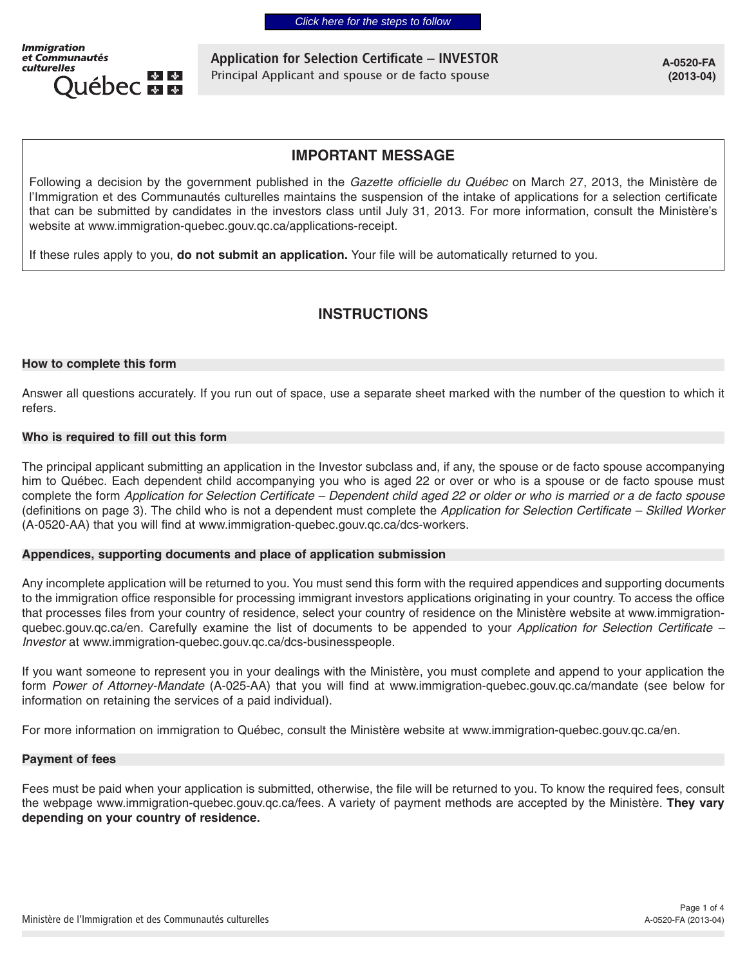*Click here for the steps to follow*



**Application for Selection Certificate – INVESTOR Principal Applicant and spouse or de facto spouse**

**A-0520-FA (2013-04)**

### **IMPORTANT MESSAGE**

Following a decision by the government published in the *Gazette officielle du Québec* on March 27, 2013, the Ministère de l'Immigration et des Communautés culturelles maintains the suspension of the intake of applications for a selection certificate that can be submitted by candidates in the investors class until July 31, 2013. For more information, consult the Ministère's website at www.immigration-quebec.gouv.qc.ca/applications-receipt.

If these rules apply to you, **do not submit an application.** Your file will be automatically returned to you.

### **INSTRUCTIONS**

#### **How to complete this form**

Answer all questions accurately. If you run out of space, use a separate sheet marked with the number of the question to which it refers.

#### **Who is required to fill out this form**

The principal applicant submitting an application in the Investor subclass and, if any, the spouse or de facto spouse accompanying him to Québec. Each dependent child accompanying you who is aged 22 or over or who is a spouse or de facto spouse must complete the form Application for Selection Certificate – Dependent child aged 22 or older or who is married or a de facto spouse (definitions on page 3). The child who is not a dependent must complete the Application for Selection Certificate – Skilled Worker (A-0520-AA) that you will find at www.immigration-quebec.gouv.qc.ca/dcs-workers.

#### **Appendices, supporting documents and place of application submission**

Any incomplete application will be returned to you. You must send this form with the required appendices and supporting documents to the immigration office responsible for processing immigrant investors applications originating in your country. To access the office that processes files from your country of residence, select your country of residence on the Ministère website at www.immigrationquebec.gouv.qc.ca/en. Carefully examine the list of documents to be appended to your Application for Selection Certificate – Investor at www.immigration-quebec.gouv.qc.ca/dcs-businesspeople.

If you want someone to represent you in your dealings with the Ministère, you must complete and append to your application the form Power of Attorney-Mandate (A-025-AA) that you will find at www.immigration-quebec.gouv.qc.ca/mandate (see below for information on retaining the services of a paid individual).

For more information on immigration to Québec, consult the Ministère website at www.i[mmigration-quebec.gouv.qc.ca/en.](http://www.immigration-quebec.gouv.qc.ca/en/index.html)

#### **Payment of fees**

Fees must be paid when your application is submitted, otherwise, the file will be returned to you. To know the required fees, consult the webpage www.immigration-quebec.gouv.qc.ca/fees. A variety of payment methods are accepted by the Ministère. **They vary depending on your country of residence.**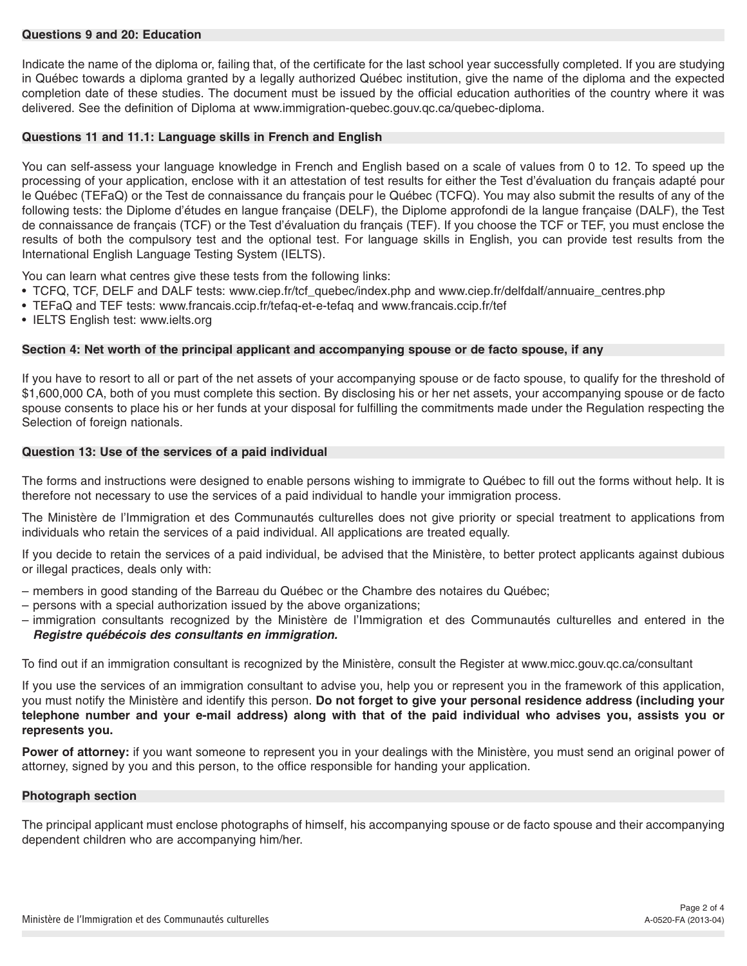#### **Questions 9 and 20: Education**

Indicate the name of the diploma or, failing that, of the certificate for the last school year successfully completed. If you are studying in Québec towards a diploma granted by a legally authorized Québec institution, give the name of the diploma and the expected completion date of these studies. The document must be issued by the official education authorities of the country where it was delivered. See the definition of Diploma at [www.immigration-quebec.gouv.qc.ca/quebec-diploma.](http://www.immigration-quebec.gouv.qc.ca/diploma-quebec) 

#### **Questions 11 and 11.1: Language skills in French and English**

You can self-assess your language knowledge in French and English based on a scale of values from 0 to 12. To speed up the processing of your application, enclose with it an attestation of test results for either the Test d'évaluation du français adapté pour le Québec (TEFaQ) or the Test de connaissance du français pour le Québec (TCFQ). You may also submit the results of any of the following tests: the Diplome d'études en langue française (DELF), the Diplome approfondi de la langue française (DALF), the Test de connaissance de français (TCF) or the Test d'évaluation du français (TEF). If you choose the TCF or TEF, you must enclose the results of both the compulsory test and the optional test. For language skills in English, you can provide test results from the International English Language Testing System (IELTS).

You can learn what centres give these tests from the following links:

- TCFQ, TCF, DELF and DALF tests: www.ciep.fr/tcf\_quebec/index.php and www.ciep.fr/delfdalf/annuaire\_centres.php
- TEFaQ and TEF tests: www.francais.ccip.fr/tefaq-et-e-tefaq and www.francais.ccip.fr/tef
- IELTS English test: www.ielts.org

#### **Section 4: Net worth of the principal applicant and accompanying spouse or de facto spouse, if any**

If you have to resort to all or part of the net assets of your accompanying spouse or de facto spouse, to qualify for the threshold of \$1,600,000 CA, both of you must complete this section. By disclosing his or her net assets, your accompanying spouse or de facto spouse consents to place his or her funds at your disposal for fulfilling the commitments made under the Regulation respecting the Selection of foreign nationals.

#### **Question 13: Use of the services of a paid individual**

The forms and instructions were designed to enable persons wishing to immigrate to Québec to fill out the forms without help. It is therefore not necessary to use the services of a paid individual to handle your immigration process.

The Ministère de l'Immigration et des Communautés culturelles does not give priority or special treatment to applications from individuals who retain the services of a paid individual. All applications are treated equally.

If you decide to retain the services of a paid individual, be advised that the Ministère, to better protect applicants against dubious or illegal practices, deals only with:

- members in good standing of the Barreau du Québec or the Chambre des notaires du Québec;
- persons with a special authorization issued by the above organizations;
- immigration consultants recognized by the Ministère de l'Immigration et des Communautés culturelles and entered in the *Registre québécois des consultants en immigration.*

To find out if an immigration consultant is recognized by the Ministère, consult the Register at www.micc.gouv.qc.ca/consultant

If you use the services of an immigration consultant to advise you, help you or represent you in the framework of this application, you must notify the Ministère and identify this person. **Do not forget to give your personal residence address (including your telephone number and your e-mail address) along with that of the paid individual who advises you, assists you or represents you.**

**Power of attorney:** if you want someone to represent you in your dealings with the Ministère, you must send an original power of attorney, signed by you and this person, to the office responsible for handing your application.

#### **Photograph section**

The principal applicant must enclose photographs of himself, his accompanying spouse or de facto spouse and their accompanying dependent children who are accompanying him/her.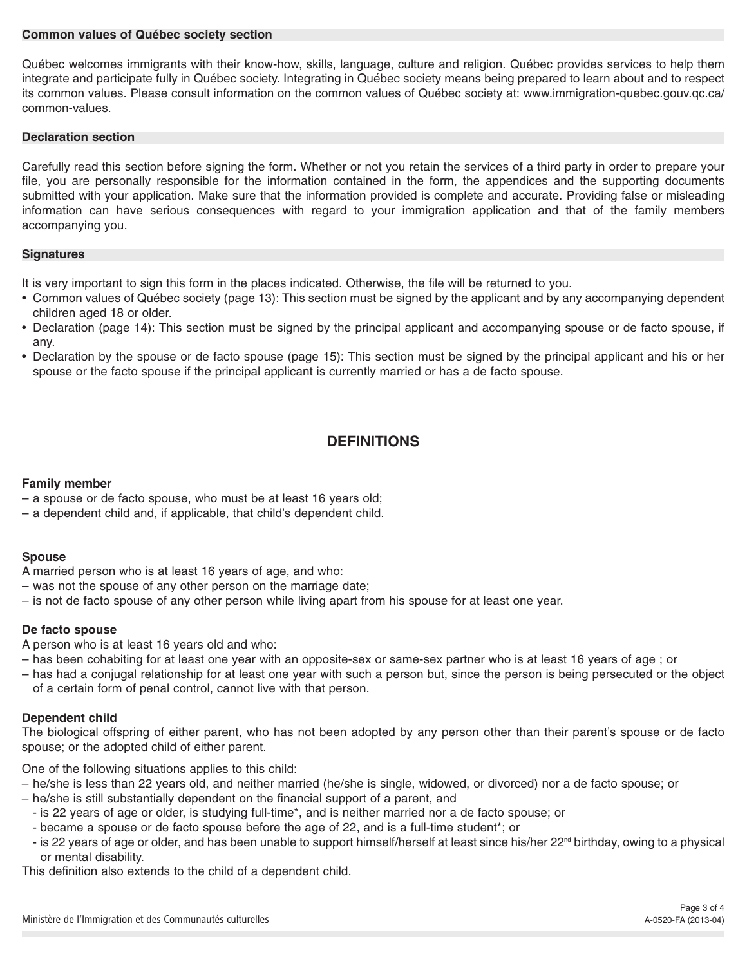#### **Common values of Québec society section**

Québec welcomes immigrants with their know-how, skills, language, culture and religion. Québec provides services to help them integrate and participate fully in Québec society. Integrating in Québec society means being prepared to learn about and to respect its common values. Please consult information on the common values of Québec society at: [www.immigration-quebec.gouv.qc.ca/](http://www.immigration-quebec.gouv.qc.ca/en/choose-quebec/common-values/index.html) [common-values.](http://www.immigration-quebec.gouv.qc.ca/en/choose-quebec/common-values/index.html)

#### **Declaration section**

Carefully read this section before signing the form. Whether or not you retain the services of a third party in order to prepare your file, you are personally responsible for the information contained in the form, the appendices and the supporting documents submitted with your application. Make sure that the information provided is complete and accurate. Providing false or misleading information can have serious consequences with regard to your immigration application and that of the family members accompanying you.

#### **Signatures**

It is very important to sign this form in the places indicated. Otherwise, the file will be returned to you.

- Common values of Québec society (page 13): This section must be signed by the applicant and by any accompanying dependent children aged 18 or older.
- Declaration (page 14): This section must be signed by the principal applicant and accompanying spouse or de facto spouse, if any.
- Declaration by the spouse or de facto spouse (page 15): This section must be signed by the principal applicant and his or her spouse or the facto spouse if the principal applicant is currently married or has a de facto spouse.

### **DEFINITIONS**

#### **Family member**

- a spouse or de facto spouse, who must be at least 16 years old;
- a dependent child and, if applicable, that child's dependent child.

#### **Spouse**

A married person who is at least 16 years of age, and who:

- was not the spouse of any other person on the marriage date;
- is not de facto spouse of any other person while living apart from his spouse for at least one year.

#### **De facto spouse**

A person who is at least 16 years old and who:

- has been cohabiting for at least one year with an opposite-sex or same-sex partner who is at least 16 years of age ; or
- has had a conjugal relationship for at least one year with such a person but, since the person is being persecuted or the object of a certain form of penal control, cannot live with that person.

#### **Dependent child**

The biological offspring of either parent, who has not been adopted by any person other than their parent's spouse or de facto spouse; or the adopted child of either parent.

One of the following situations applies to this child:

- he/she is less than 22 years old, and neither married (he/she is single, widowed, or divorced) nor a de facto spouse; or
- he/she is still substantially dependent on the financial support of a parent, and
	- is 22 years of age or older, is studying full-time\*, and is neither married nor a de facto spouse; or
	- became a spouse or de facto spouse before the age of 22, and is a full-time student\*; or
	- is 22 years of age or older, and has been unable to support himself/herself at least since his/her 22<sup>nd</sup> birthday, owing to a physical or mental disability.

This definition also extends to the child of a dependent child.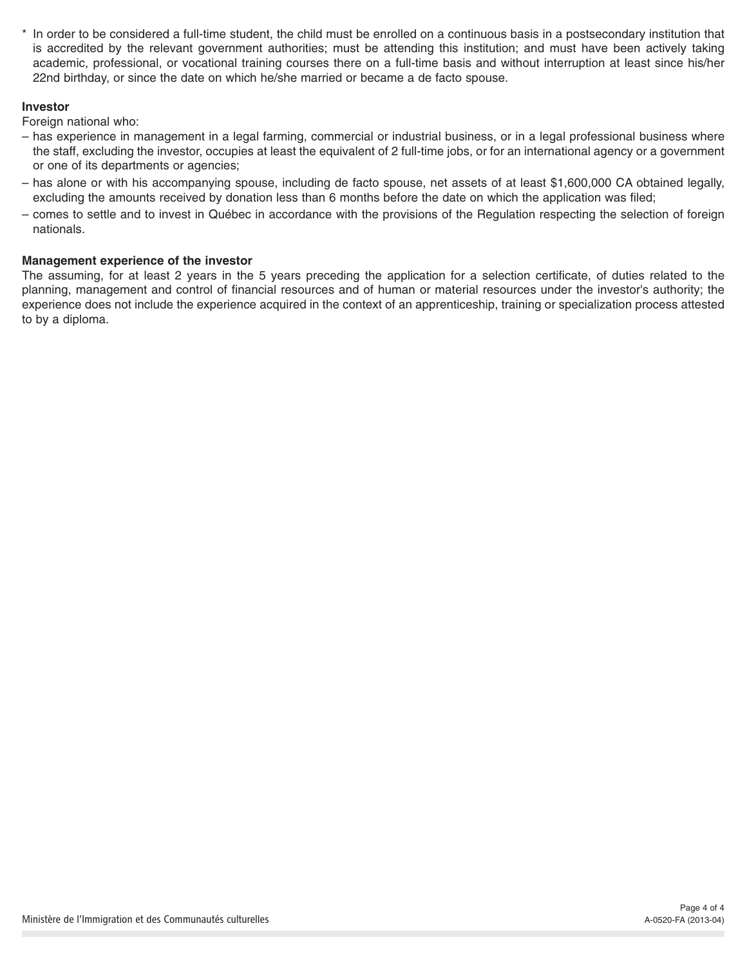In order to be considered a full-time student, the child must be enrolled on a continuous basis in a postsecondary institution that is accredited by the relevant government authorities; must be attending this institution; and must have been actively taking academic, professional, or vocational training courses there on a full-time basis and without interruption at least since his/her 22nd birthday, or since the date on which he/she married or became a de facto spouse.

#### **Investor**

Foreign national who:

- has experience in management in a legal farming, commercial or industrial business, or in a legal professional business where the staff, excluding the investor, occupies at least the equivalent of 2 full-time jobs, or for an international agency or a government or one of its departments or agencies;
- has alone or with his accompanying spouse, including de facto spouse, net assets of at least \$1,600,000 CA obtained legally, excluding the amounts received by donation less than 6 months before the date on which the application was filed;
- comes to settle and to invest in Québec in accordance with the provisions of the Regulation respecting the selection of foreign nationals.

#### **Management experience of the investor**

The assuming, for at least 2 years in the 5 years preceding the application for a selection certificate, of duties related to the planning, management and control of financial resources and of human or material resources under the investor's authority; the experience does not include the experience acquired in the context of an apprenticeship, training or specialization process attested to by a diploma.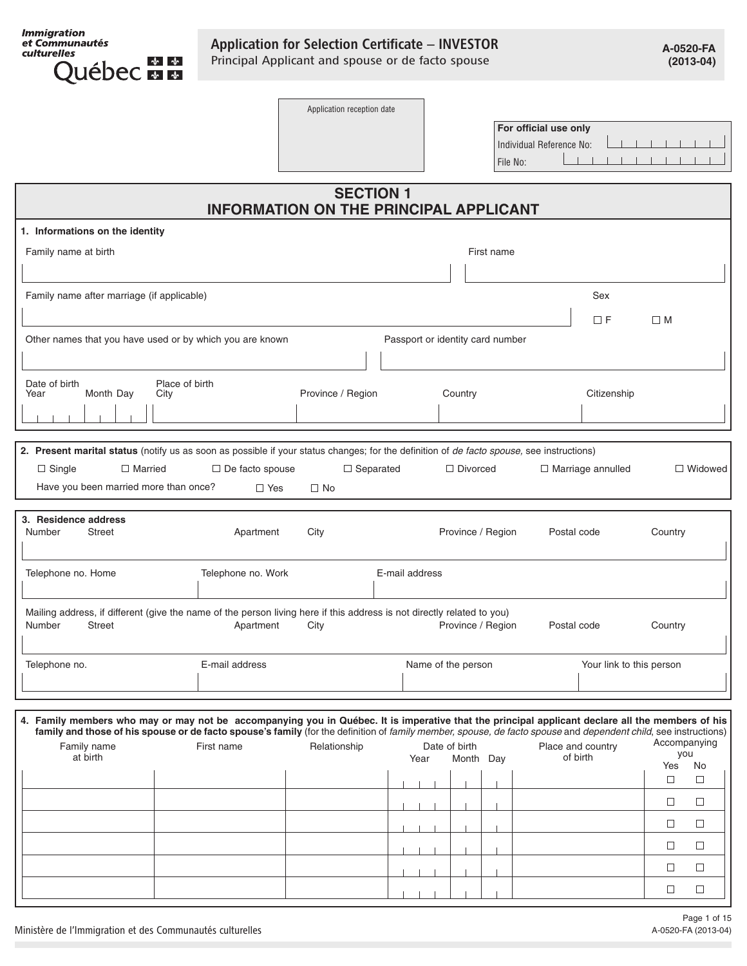*Immigration<br>et Communautés<br>culturelles* enes<br>Québec **E E** 

### **Application for Selection Certificate – INVESTOR Principal Applicant and spouse or de facto spouse**

Application reception date

 $\mathbf{L}$ 

|                                                                                                                                                                                                                                                                                                                     |                                      |                                                                   |                                    | For official use only<br>Individual Reference No: |                               |                                  |
|---------------------------------------------------------------------------------------------------------------------------------------------------------------------------------------------------------------------------------------------------------------------------------------------------------------------|--------------------------------------|-------------------------------------------------------------------|------------------------------------|---------------------------------------------------|-------------------------------|----------------------------------|
|                                                                                                                                                                                                                                                                                                                     |                                      |                                                                   |                                    | File No:                                          |                               |                                  |
|                                                                                                                                                                                                                                                                                                                     |                                      | <b>SECTION 1</b><br><b>INFORMATION ON THE PRINCIPAL APPLICANT</b> |                                    |                                                   |                               |                                  |
| 1. Informations on the identity                                                                                                                                                                                                                                                                                     |                                      |                                                                   |                                    |                                                   |                               |                                  |
| Family name at birth                                                                                                                                                                                                                                                                                                |                                      |                                                                   |                                    | First name                                        |                               |                                  |
|                                                                                                                                                                                                                                                                                                                     |                                      |                                                                   |                                    |                                                   |                               |                                  |
| Family name after marriage (if applicable)                                                                                                                                                                                                                                                                          |                                      |                                                                   |                                    |                                                   | Sex                           |                                  |
|                                                                                                                                                                                                                                                                                                                     |                                      |                                                                   |                                    |                                                   | $\Box F$                      | $\Box$ M                         |
| Other names that you have used or by which you are known                                                                                                                                                                                                                                                            |                                      |                                                                   | Passport or identity card number   |                                                   |                               |                                  |
| Date of birth                                                                                                                                                                                                                                                                                                       | Place of birth                       |                                                                   |                                    |                                                   |                               |                                  |
| Month Day<br>Year                                                                                                                                                                                                                                                                                                   | City                                 | Province / Region                                                 | Country                            |                                                   | Citizenship                   |                                  |
|                                                                                                                                                                                                                                                                                                                     |                                      |                                                                   |                                    |                                                   |                               |                                  |
| $\Box$ Single<br>$\Box$ Married<br>Have you been married more than once?<br>3. Residence address                                                                                                                                                                                                                    | $\Box$ De facto spouse<br>$\Box$ Yes | $\Box$ Separated<br>$\Box$ No                                     | $\Box$ Divorced                    |                                                   | $\Box$ Marriage annulled      | □ Widowed                        |
| <b>Street</b><br>Number                                                                                                                                                                                                                                                                                             | Apartment                            | City                                                              | Province / Region                  |                                                   | Postal code                   | Country                          |
| Telephone no. Home                                                                                                                                                                                                                                                                                                  | Telephone no. Work                   |                                                                   | E-mail address                     |                                                   |                               |                                  |
| Mailing address, if different (give the name of the person living here if this address is not directly related to you)<br>Number<br><b>Street</b>                                                                                                                                                                   | Apartment                            | City                                                              | Province / Region                  |                                                   | Postal code                   | Country                          |
| Telephone no.                                                                                                                                                                                                                                                                                                       | E-mail address                       |                                                                   | Name of the person                 |                                                   | Your link to this person      |                                  |
|                                                                                                                                                                                                                                                                                                                     |                                      |                                                                   |                                    |                                                   |                               |                                  |
| 4. Family members who may or may not be accompanying you in Québec. It is imperative that the principal applicant declare all the members of his<br>family and those of his spouse or de facto spouse's family (for the definition of family member, spouse, de facto spouse and dependent child, see instructions) |                                      |                                                                   |                                    |                                                   |                               |                                  |
| Family name<br>at birth                                                                                                                                                                                                                                                                                             | First name                           | Relationship                                                      | Date of birth<br>Month Day<br>Year |                                                   | Place and country<br>of birth | Accompanying<br>you<br>No<br>Yes |
|                                                                                                                                                                                                                                                                                                                     |                                      |                                                                   |                                    |                                                   |                               | $\Box$<br>$\Box$                 |
|                                                                                                                                                                                                                                                                                                                     |                                      |                                                                   |                                    |                                                   |                               | $\Box$<br>$\Box$                 |
|                                                                                                                                                                                                                                                                                                                     |                                      |                                                                   |                                    |                                                   |                               | $\Box$<br>$\Box$                 |
|                                                                                                                                                                                                                                                                                                                     |                                      |                                                                   |                                    |                                                   |                               | $\Box$<br>$\Box$                 |

 $\Box$ 

 $\Box$ 

 $\Box$ 

 $\Box$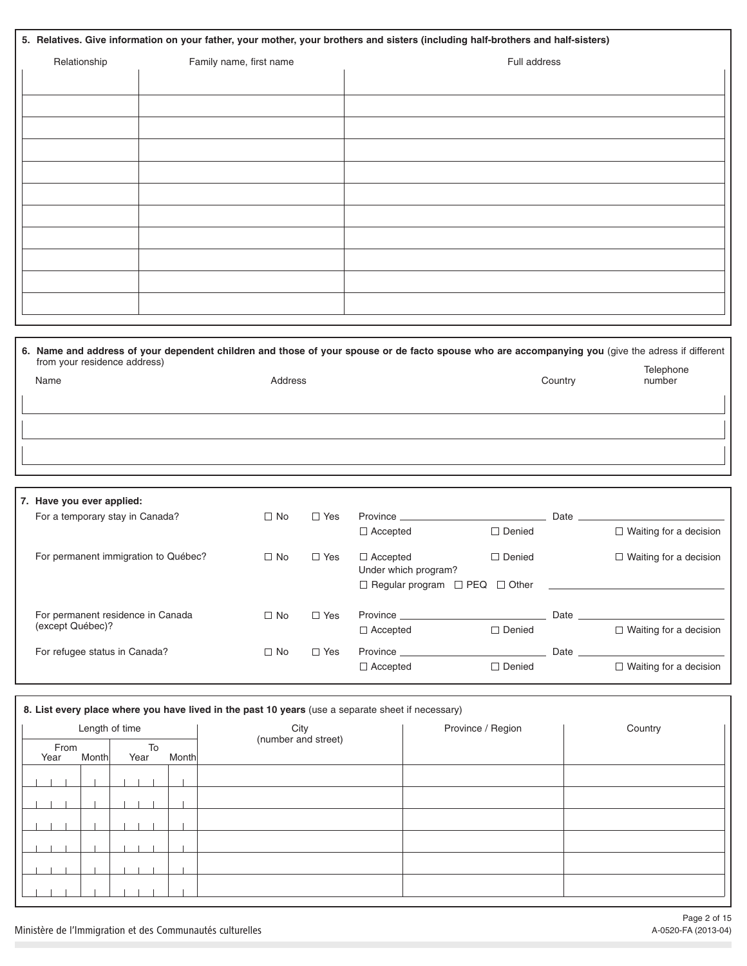|              | 5. Relatives. Give information on your father, your mother, your brothers and sisters (including half-brothers and half-sisters) |              |  |  |  |  |  |  |  |  |  |  |
|--------------|----------------------------------------------------------------------------------------------------------------------------------|--------------|--|--|--|--|--|--|--|--|--|--|
| Relationship | Family name, first name                                                                                                          | Full address |  |  |  |  |  |  |  |  |  |  |
|              |                                                                                                                                  |              |  |  |  |  |  |  |  |  |  |  |
|              |                                                                                                                                  |              |  |  |  |  |  |  |  |  |  |  |
|              |                                                                                                                                  |              |  |  |  |  |  |  |  |  |  |  |
|              |                                                                                                                                  |              |  |  |  |  |  |  |  |  |  |  |
|              |                                                                                                                                  |              |  |  |  |  |  |  |  |  |  |  |
|              |                                                                                                                                  |              |  |  |  |  |  |  |  |  |  |  |
|              |                                                                                                                                  |              |  |  |  |  |  |  |  |  |  |  |
|              |                                                                                                                                  |              |  |  |  |  |  |  |  |  |  |  |
|              |                                                                                                                                  |              |  |  |  |  |  |  |  |  |  |  |
|              |                                                                                                                                  |              |  |  |  |  |  |  |  |  |  |  |
|              |                                                                                                                                  |              |  |  |  |  |  |  |  |  |  |  |
|              |                                                                                                                                  |              |  |  |  |  |  |  |  |  |  |  |

| 6. Name and address of your dependent children and those of your spouse or de facto spouse who are accompanying you (give the adress if different<br>from your residence address) |      |         |         |                     |  |  |  |  |  |  |
|-----------------------------------------------------------------------------------------------------------------------------------------------------------------------------------|------|---------|---------|---------------------|--|--|--|--|--|--|
|                                                                                                                                                                                   | Name | Address | Country | Telephone<br>number |  |  |  |  |  |  |
|                                                                                                                                                                                   |      |         |         |                     |  |  |  |  |  |  |
|                                                                                                                                                                                   |      |         |         |                     |  |  |  |  |  |  |
|                                                                                                                                                                                   |      |         |         |                     |  |  |  |  |  |  |
|                                                                                                                                                                                   |      |         |         |                     |  |  |  |  |  |  |

| 7. Have you ever applied:<br>For a temporary stay in Canada? | $\Box$ No | $\Box$ Yes | Province<br>$\Box$ Accepted                                                        | $\Box$ Denied                 | Date       | $\Box$ Waiting for a decision |
|--------------------------------------------------------------|-----------|------------|------------------------------------------------------------------------------------|-------------------------------|------------|-------------------------------|
| For permanent immigration to Québec?                         | $\Box$ No | $\Box$ Yes | $\Box$ Accepted<br>Under which program?<br>$\Box$ Regular program<br>$\square$ PEQ | $\Box$ Denied<br>$\Box$ Other |            | $\Box$ Waiting for a decision |
| For permanent residence in Canada<br>(except Québec)?        | $\Box$ No | $\Box$ Yes | <b>Province</b><br>$\Box$ Accepted                                                 | $\Box$ Denied                 | Date $\_\$ | $\Box$ Waiting for a decision |
| For refugee status in Canada?                                | $\Box$ No | $\Box$ Yes | Province<br>$\Box$ Accepted                                                        | $\Box$ Denied                 | Date       | $\Box$ Waiting for a decision |

| 8. List every place where you have lived in the past 10 years (use a separate sheet if necessary) |                     |                     |                   |         |  |  |  |  |  |  |  |
|---------------------------------------------------------------------------------------------------|---------------------|---------------------|-------------------|---------|--|--|--|--|--|--|--|
|                                                                                                   | Length of time      | City                | Province / Region | Country |  |  |  |  |  |  |  |
| From<br><b>Month</b><br>Year                                                                      | To<br>Year<br>Month | (number and street) |                   |         |  |  |  |  |  |  |  |
|                                                                                                   |                     |                     |                   |         |  |  |  |  |  |  |  |
|                                                                                                   |                     |                     |                   |         |  |  |  |  |  |  |  |
|                                                                                                   |                     |                     |                   |         |  |  |  |  |  |  |  |
|                                                                                                   |                     |                     |                   |         |  |  |  |  |  |  |  |
|                                                                                                   |                     |                     |                   |         |  |  |  |  |  |  |  |
|                                                                                                   |                     |                     |                   |         |  |  |  |  |  |  |  |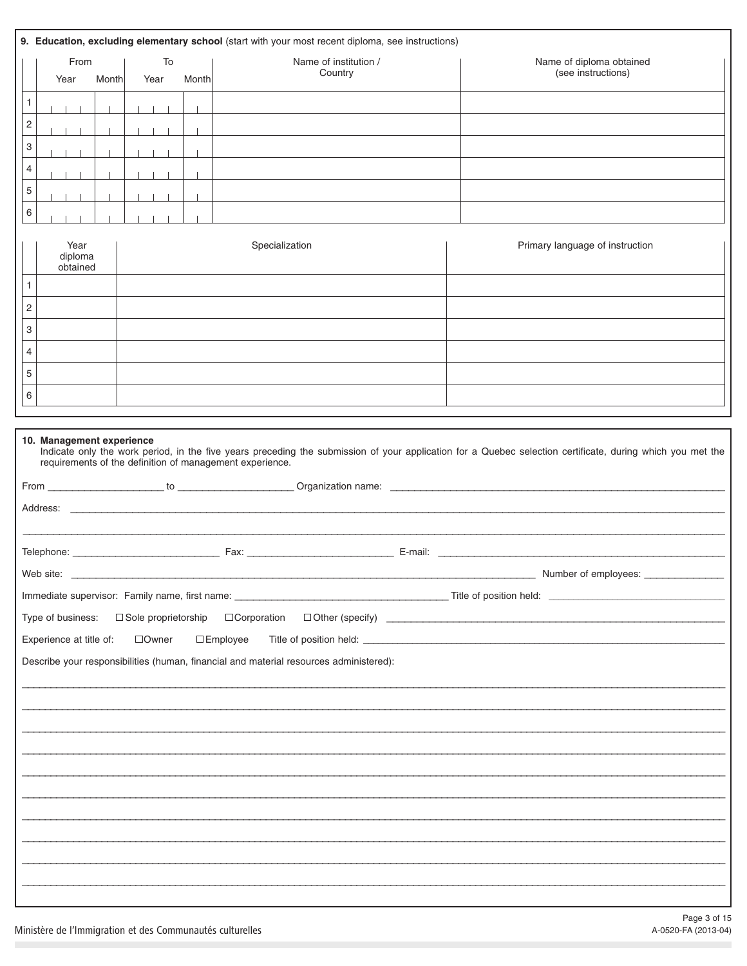|                           | From |               | To |  |              |  |         | Name of institution / | Name of diploma obtained |  |  |  |
|---------------------------|------|---------------|----|--|--------------|--|---------|-----------------------|--------------------------|--|--|--|
|                           | Year | Year<br>Month |    |  | <b>Month</b> |  | Country | (see instructions)    |                          |  |  |  |
|                           |      |               |    |  |              |  |         |                       |                          |  |  |  |
| $\overline{c}$            |      |               |    |  |              |  |         |                       |                          |  |  |  |
| $\ensuremath{\mathsf{3}}$ |      |               |    |  |              |  |         |                       |                          |  |  |  |
| 4                         |      |               |    |  |              |  |         |                       |                          |  |  |  |
| $\,$ 5 $\,$               |      |               |    |  |              |  |         |                       |                          |  |  |  |
| $\,6\,$                   |      |               |    |  |              |  |         |                       |                          |  |  |  |

|   | Year<br>diploma<br>obtained | Specialization | Primary language of instruction |
|---|-----------------------------|----------------|---------------------------------|
|   |                             |                |                                 |
| 2 |                             |                |                                 |
| 3 |                             |                |                                 |
| 4 |                             |                |                                 |
| 5 |                             |                |                                 |
| 6 |                             |                |                                 |

Г

10. Management experience<br>Indicate only the work period, in the five years preceding the submission of your application for a Quebec selection certificate, during which you met the<br>requirements of the definition of managem

| Experience at title of:<br>$\Box$ Owner                                                | $\Box$ Employee |  |
|----------------------------------------------------------------------------------------|-----------------|--|
| Describe your responsibilities (human, financial and material resources administered): |                 |  |
|                                                                                        |                 |  |
|                                                                                        |                 |  |
|                                                                                        |                 |  |
|                                                                                        |                 |  |
|                                                                                        |                 |  |
|                                                                                        |                 |  |
|                                                                                        |                 |  |
|                                                                                        |                 |  |
|                                                                                        |                 |  |
|                                                                                        |                 |  |
|                                                                                        |                 |  |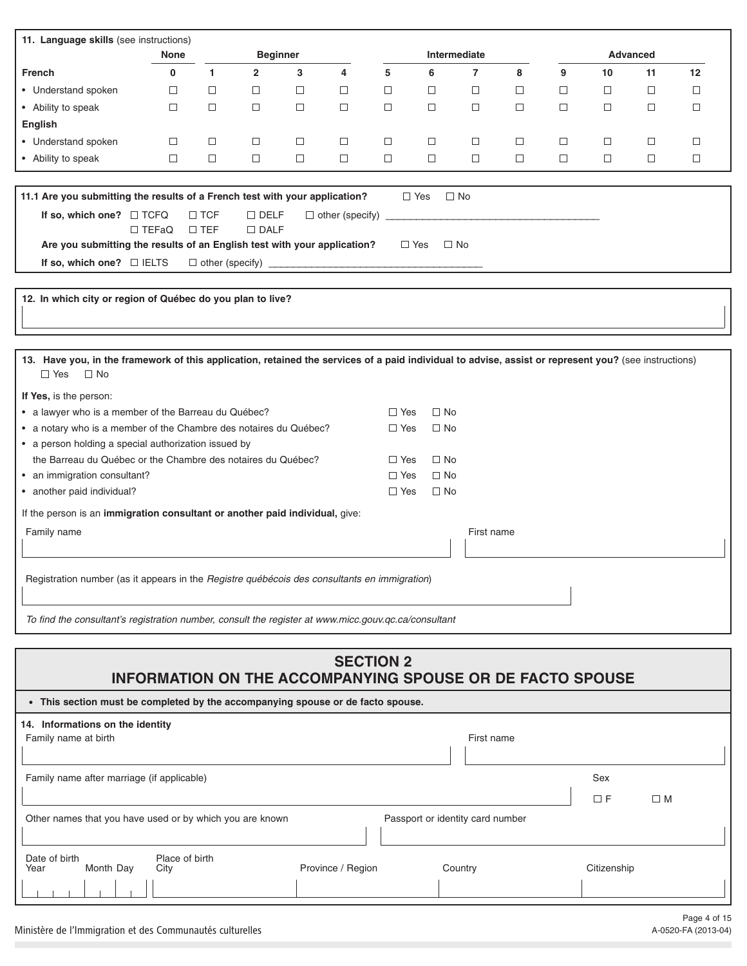| 11. Language skills (see instructions)                                                                                                                |              |               |                               |                 |                        |                                                                  |              |                                  |        |        |          |                 |        |  |
|-------------------------------------------------------------------------------------------------------------------------------------------------------|--------------|---------------|-------------------------------|-----------------|------------------------|------------------------------------------------------------------|--------------|----------------------------------|--------|--------|----------|-----------------|--------|--|
|                                                                                                                                                       | None         |               |                               | <b>Beginner</b> |                        |                                                                  |              | Intermediate                     |        |        |          | <b>Advanced</b> |        |  |
| French                                                                                                                                                | 0            | 1             | $\overline{2}$                | 3               | 4                      | 5                                                                | 6            | $\overline{7}$                   | 8      | 9      | 10       | 11              | 12     |  |
| • Understand spoken                                                                                                                                   | $\Box$       | $\Box$        | $\Box$                        | $\Box$          | $\Box$                 | $\Box$                                                           | $\Box$       | $\Box$                           | $\Box$ | $\Box$ | $\Box$   | $\Box$          | $\Box$ |  |
| • Ability to speak                                                                                                                                    | $\Box$       | $\Box$        | $\Box$                        | $\Box$          | $\Box$                 | $\Box$                                                           | $\Box$       | $\Box$                           | $\Box$ | $\Box$ | □        | $\Box$          | $\Box$ |  |
| <b>English</b>                                                                                                                                        |              |               |                               |                 |                        |                                                                  |              |                                  |        |        |          |                 |        |  |
|                                                                                                                                                       | $\Box$       | $\Box$        | $\Box$                        | $\Box$          | $\Box$                 | $\Box$                                                           | $\Box$       | $\Box$                           | $\Box$ | $\Box$ | $\Box$   | $\Box$          | $\Box$ |  |
| • Understand spoken                                                                                                                                   |              |               |                               |                 |                        |                                                                  |              |                                  |        |        |          |                 |        |  |
| • Ability to speak                                                                                                                                    | $\Box$       | $\Box$        | □                             | $\Box$          | $\Box$                 | $\Box$                                                           | $\Box$       | $\Box$                           | $\Box$ | $\Box$ | □        | $\Box$          | $\Box$ |  |
|                                                                                                                                                       |              |               |                               |                 |                        |                                                                  |              |                                  |        |        |          |                 |        |  |
| 11.1 Are you submitting the results of a French test with your application?                                                                           |              |               |                               |                 |                        | $\Box$ Yes                                                       |              | $\Box$ No                        |        |        |          |                 |        |  |
| If so, which one? $\Box$ TCFQ                                                                                                                         |              | $\Box$ TCF    | $\Box$ DELF                   |                 | $\Box$ other (specify) |                                                                  |              |                                  |        |        |          |                 |        |  |
|                                                                                                                                                       | $\Box$ TEFaQ | $\square$ TEF | $\Box$ DALF                   |                 |                        |                                                                  |              |                                  |        |        |          |                 |        |  |
| Are you submitting the results of an English test with your application?                                                                              |              |               |                               |                 |                        | $\Box$ Yes                                                       |              | $\Box$ No                        |        |        |          |                 |        |  |
| If so, which one? $\Box$ IELTS                                                                                                                        |              |               | $\Box$ other (specify) $\Box$ |                 |                        |                                                                  |              |                                  |        |        |          |                 |        |  |
|                                                                                                                                                       |              |               |                               |                 |                        |                                                                  |              |                                  |        |        |          |                 |        |  |
|                                                                                                                                                       |              |               |                               |                 |                        |                                                                  |              |                                  |        |        |          |                 |        |  |
| 12. In which city or region of Québec do you plan to live?                                                                                            |              |               |                               |                 |                        |                                                                  |              |                                  |        |        |          |                 |        |  |
|                                                                                                                                                       |              |               |                               |                 |                        |                                                                  |              |                                  |        |        |          |                 |        |  |
|                                                                                                                                                       |              |               |                               |                 |                        |                                                                  |              |                                  |        |        |          |                 |        |  |
| 13. Have you, in the framework of this application, retained the services of a paid individual to advise, assist or represent you? (see instructions) |              |               |                               |                 |                        |                                                                  |              |                                  |        |        |          |                 |        |  |
| $\Box$ Yes<br>$\Box$ No                                                                                                                               |              |               |                               |                 |                        |                                                                  |              |                                  |        |        |          |                 |        |  |
|                                                                                                                                                       |              |               |                               |                 |                        |                                                                  |              |                                  |        |        |          |                 |        |  |
| If Yes, is the person:                                                                                                                                |              |               |                               |                 |                        |                                                                  |              |                                  |        |        |          |                 |        |  |
| • a lawyer who is a member of the Barreau du Québec?                                                                                                  |              |               |                               |                 |                        | $\Box$ Yes                                                       | $\Box$ No    |                                  |        |        |          |                 |        |  |
| • a notary who is a member of the Chambre des notaires du Québec?                                                                                     |              |               |                               |                 |                        | $\Box$ Yes                                                       | $\square$ No |                                  |        |        |          |                 |        |  |
| • a person holding a special authorization issued by                                                                                                  |              |               |                               |                 |                        |                                                                  |              |                                  |        |        |          |                 |        |  |
| the Barreau du Québec or the Chambre des notaires du Québec?                                                                                          |              |               |                               |                 |                        | $\Box$ Yes                                                       | $\Box$ No    |                                  |        |        |          |                 |        |  |
| • an immigration consultant?                                                                                                                          |              |               |                               |                 |                        | $\Box$ Yes                                                       | $\Box$ No    |                                  |        |        |          |                 |        |  |
| • another paid individual?                                                                                                                            |              |               |                               |                 |                        | $\Box$ Yes                                                       | $\Box$ No    |                                  |        |        |          |                 |        |  |
|                                                                                                                                                       |              |               |                               |                 |                        |                                                                  |              |                                  |        |        |          |                 |        |  |
| If the person is an immigration consultant or another paid individual, give:                                                                          |              |               |                               |                 |                        |                                                                  |              |                                  |        |        |          |                 |        |  |
| Family name                                                                                                                                           |              |               |                               |                 |                        |                                                                  |              | First name                       |        |        |          |                 |        |  |
|                                                                                                                                                       |              |               |                               |                 |                        |                                                                  |              |                                  |        |        |          |                 |        |  |
|                                                                                                                                                       |              |               |                               |                 |                        |                                                                  |              |                                  |        |        |          |                 |        |  |
| Registration number (as it appears in the Registre québécois des consultants en immigration)                                                          |              |               |                               |                 |                        |                                                                  |              |                                  |        |        |          |                 |        |  |
|                                                                                                                                                       |              |               |                               |                 |                        |                                                                  |              |                                  |        |        |          |                 |        |  |
| To find the consultant's registration number, consult the register at www.micc.gouv.gc.ca/consultant                                                  |              |               |                               |                 |                        |                                                                  |              |                                  |        |        |          |                 |        |  |
|                                                                                                                                                       |              |               |                               |                 |                        |                                                                  |              |                                  |        |        |          |                 |        |  |
|                                                                                                                                                       |              |               |                               |                 |                        |                                                                  |              |                                  |        |        |          |                 |        |  |
|                                                                                                                                                       |              |               |                               |                 |                        | <b>SECTION 2</b>                                                 |              |                                  |        |        |          |                 |        |  |
|                                                                                                                                                       |              |               |                               |                 |                        | <b>INFORMATION ON THE ACCOMPANYING SPOUSE OR DE FACTO SPOUSE</b> |              |                                  |        |        |          |                 |        |  |
|                                                                                                                                                       |              |               |                               |                 |                        |                                                                  |              |                                  |        |        |          |                 |        |  |
| • This section must be completed by the accompanying spouse or de facto spouse.                                                                       |              |               |                               |                 |                        |                                                                  |              |                                  |        |        |          |                 |        |  |
| 14. Informations on the identity                                                                                                                      |              |               |                               |                 |                        |                                                                  |              |                                  |        |        |          |                 |        |  |
| Family name at birth                                                                                                                                  |              |               |                               |                 |                        |                                                                  |              | First name                       |        |        |          |                 |        |  |
|                                                                                                                                                       |              |               |                               |                 |                        |                                                                  |              |                                  |        |        |          |                 |        |  |
|                                                                                                                                                       |              |               |                               |                 |                        |                                                                  |              |                                  |        |        |          |                 |        |  |
| Family name after marriage (if applicable)                                                                                                            |              |               |                               |                 |                        |                                                                  |              |                                  |        |        | Sex      |                 |        |  |
|                                                                                                                                                       |              |               |                               |                 |                        |                                                                  |              |                                  |        |        | $\Box F$ | $\square$ M     |        |  |
| Other names that you have used or by which you are known                                                                                              |              |               |                               |                 |                        |                                                                  |              | Passport or identity card number |        |        |          |                 |        |  |
|                                                                                                                                                       |              |               |                               |                 |                        |                                                                  |              |                                  |        |        |          |                 |        |  |

Date of birth Year Month Day Province / Region Country Place of birth Citizenship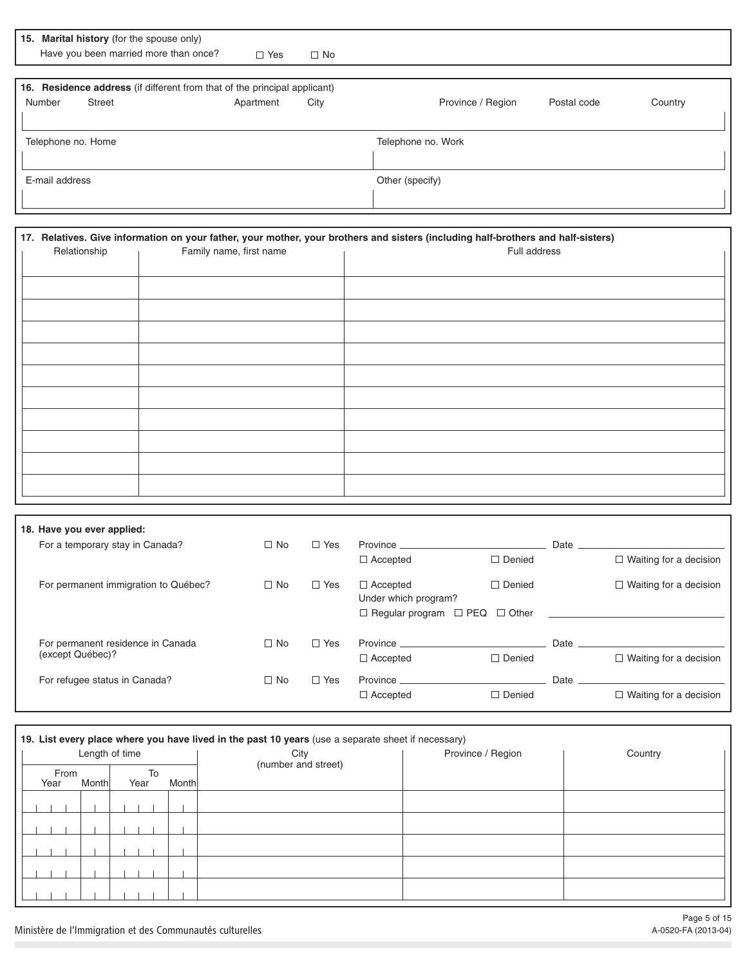| 15. Marital history (for the spouse only)<br>Have you been married more than once? | $\Box$ Yes              | $\Box$ No |                                                                                                                                   |              |             |         |
|------------------------------------------------------------------------------------|-------------------------|-----------|-----------------------------------------------------------------------------------------------------------------------------------|--------------|-------------|---------|
|                                                                                    |                         |           |                                                                                                                                   |              |             |         |
| 16. Residence address (if different from that of the principal applicant)          |                         |           |                                                                                                                                   |              |             |         |
| <b>Street</b><br>Number                                                            | Apartment               | City      | Province / Region                                                                                                                 |              | Postal code | Country |
|                                                                                    |                         |           |                                                                                                                                   |              |             |         |
| Telephone no. Home                                                                 |                         |           | Telephone no. Work                                                                                                                |              |             |         |
|                                                                                    |                         |           |                                                                                                                                   |              |             |         |
|                                                                                    |                         |           |                                                                                                                                   |              |             |         |
| E-mail address                                                                     |                         |           | Other (specify)                                                                                                                   |              |             |         |
|                                                                                    |                         |           |                                                                                                                                   |              |             |         |
|                                                                                    |                         |           |                                                                                                                                   |              |             |         |
|                                                                                    |                         |           | 17. Relatives. Give information on your father, your mother, your brothers and sisters (including half-brothers and half-sisters) |              |             |         |
| Relationship                                                                       | Family name, first name |           |                                                                                                                                   | Full address |             |         |
|                                                                                    |                         |           |                                                                                                                                   |              |             |         |
|                                                                                    |                         |           |                                                                                                                                   |              |             |         |
|                                                                                    |                         |           |                                                                                                                                   |              |             |         |
|                                                                                    |                         |           |                                                                                                                                   |              |             |         |
|                                                                                    |                         |           |                                                                                                                                   |              |             |         |
|                                                                                    |                         |           |                                                                                                                                   |              |             |         |
|                                                                                    |                         |           |                                                                                                                                   |              |             |         |
|                                                                                    |                         |           |                                                                                                                                   |              |             |         |
|                                                                                    |                         |           |                                                                                                                                   |              |             |         |
|                                                                                    |                         |           |                                                                                                                                   |              |             |         |
|                                                                                    |                         |           |                                                                                                                                   |              |             |         |
|                                                                                    |                         |           |                                                                                                                                   |              |             |         |
|                                                                                    |                         |           |                                                                                                                                   |              |             |         |
|                                                                                    |                         |           |                                                                                                                                   |              |             |         |

| 18. Have you ever applied:           |           |            |                                         |                                               |      |                                                                                                                                                  |
|--------------------------------------|-----------|------------|-----------------------------------------|-----------------------------------------------|------|--------------------------------------------------------------------------------------------------------------------------------------------------|
| For a temporary stay in Canada?      | $\Box$ No | $\Box$ Yes | $\Box$ Accepted                         | <b>Province Example 2019</b><br>$\Box$ Denied |      | Date and the state of the state of the state of the state of the state of the state of the state of the state o<br>$\Box$ Waiting for a decision |
|                                      |           |            |                                         |                                               |      |                                                                                                                                                  |
| For permanent immigration to Québec? | $\Box$ No | $\Box$ Yes | $\Box$ Accepted<br>Under which program? | $\Box$ Denied                                 |      | $\Box$ Waiting for a decision                                                                                                                    |
|                                      |           |            | $\Box$ Regular program                  | $\Box$ PEQ $\Box$ Other                       |      |                                                                                                                                                  |
|                                      |           |            |                                         |                                               |      |                                                                                                                                                  |
| For permanent residence in Canada    | $\Box$ No | $\Box$ Yes | Province                                |                                               | Date |                                                                                                                                                  |
| (except Québec)?                     |           |            | $\Box$ Accepted                         | $\Box$ Denied                                 |      | $\Box$ Waiting for a decision                                                                                                                    |
| For refugee status in Canada?        | $\Box$ No | $\Box$ Yes | Province                                |                                               | Date |                                                                                                                                                  |
|                                      |           |            | $\Box$ Accepted                         | $\Box$ Denied                                 |      | $\Box$ Waiting for a decision                                                                                                                    |

| 19. List every place where you have lived in the past 10 years (use a separate sheet if necessary) |  |    |                      |  |  |  |                     |  |  |      |         |  |
|----------------------------------------------------------------------------------------------------|--|----|----------------------|--|--|--|---------------------|--|--|------|---------|--|
| Length of time                                                                                     |  |    |                      |  |  |  |                     |  |  | City | Country |  |
| From                                                                                               |  | To |                      |  |  |  | (number and street) |  |  |      |         |  |
| Month<br>Year                                                                                      |  |    | Year<br><b>Month</b> |  |  |  |                     |  |  |      |         |  |
|                                                                                                    |  |    |                      |  |  |  |                     |  |  |      |         |  |
|                                                                                                    |  |    |                      |  |  |  |                     |  |  |      |         |  |
|                                                                                                    |  |    |                      |  |  |  |                     |  |  |      |         |  |
|                                                                                                    |  |    |                      |  |  |  |                     |  |  |      |         |  |
|                                                                                                    |  |    |                      |  |  |  |                     |  |  |      |         |  |
|                                                                                                    |  |    |                      |  |  |  |                     |  |  |      |         |  |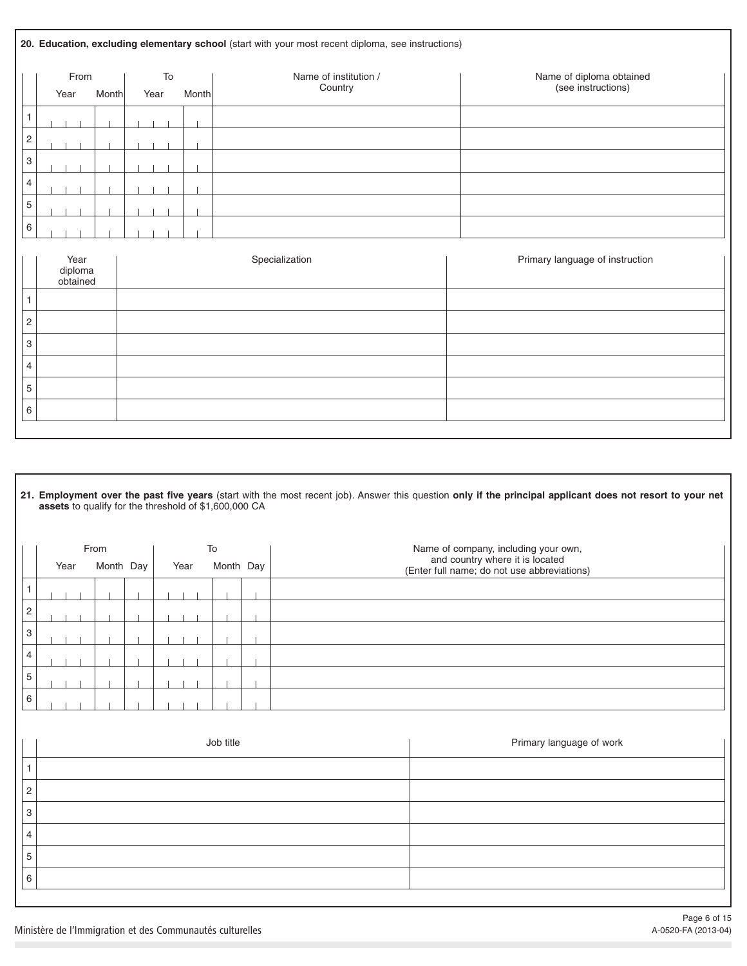|                         |                                                                        |                             |  |  |  |  |  |  | 20. Education, excluding elementary school (start with your most recent diploma, see instructions) |                                                |
|-------------------------|------------------------------------------------------------------------|-----------------------------|--|--|--|--|--|--|----------------------------------------------------------------------------------------------------|------------------------------------------------|
|                         | From<br>$\operatorname{\mathsf{To}}$<br>Year<br>Month<br>Year<br>Month |                             |  |  |  |  |  |  | Name of institution /<br>Country                                                                   | Name of diploma obtained<br>(see instructions) |
| $\mathbf{1}$            |                                                                        |                             |  |  |  |  |  |  |                                                                                                    |                                                |
| $\overline{\mathbf{c}}$ |                                                                        |                             |  |  |  |  |  |  |                                                                                                    |                                                |
| 3                       |                                                                        |                             |  |  |  |  |  |  |                                                                                                    |                                                |
| 4                       |                                                                        |                             |  |  |  |  |  |  |                                                                                                    |                                                |
| $\mathbf 5$             |                                                                        |                             |  |  |  |  |  |  |                                                                                                    |                                                |
| 6                       |                                                                        |                             |  |  |  |  |  |  |                                                                                                    |                                                |
|                         |                                                                        | Year<br>diploma<br>obtained |  |  |  |  |  |  | Specialization                                                                                     | Primary language of instruction                |
| $\mathbf{1}$            |                                                                        |                             |  |  |  |  |  |  |                                                                                                    |                                                |
| $\overline{c}$          |                                                                        |                             |  |  |  |  |  |  |                                                                                                    |                                                |
| 3                       |                                                                        |                             |  |  |  |  |  |  |                                                                                                    |                                                |
| $\overline{4}$          |                                                                        |                             |  |  |  |  |  |  |                                                                                                    |                                                |
| $\mathbf 5$             |                                                                        |                             |  |  |  |  |  |  |                                                                                                    |                                                |
| 6                       |                                                                        |                             |  |  |  |  |  |  |                                                                                                    |                                                |
|                         |                                                                        |                             |  |  |  |  |  |  |                                                                                                    |                                                |

| 21. Employment over the past five years (start with the most recent job). Answer this question only if the principal applicant does not resort to your net |  |  |
|------------------------------------------------------------------------------------------------------------------------------------------------------------|--|--|
| assets to qualify for the threshold of \$1,600,000 CA                                                                                                      |  |  |

|                |  | Year | From | Month Day | Year | To | Month Day | Name of company, including your own,<br>and country where it is located<br>(Enter full name; do not use abbreviations) |
|----------------|--|------|------|-----------|------|----|-----------|------------------------------------------------------------------------------------------------------------------------|
|                |  |      |      |           |      |    |           |                                                                                                                        |
| 2              |  |      |      |           |      |    |           |                                                                                                                        |
| 3              |  |      |      |           |      |    |           |                                                                                                                        |
| $\overline{4}$ |  |      |      |           |      |    |           |                                                                                                                        |
| 5              |  |      |      |           |      |    |           |                                                                                                                        |
| 6              |  |      |      |           |      |    |           |                                                                                                                        |

|   | Job title | Primary language of work |
|---|-----------|--------------------------|
|   |           |                          |
|   |           |                          |
| ◠ |           |                          |
|   |           |                          |
| э |           |                          |
|   |           |                          |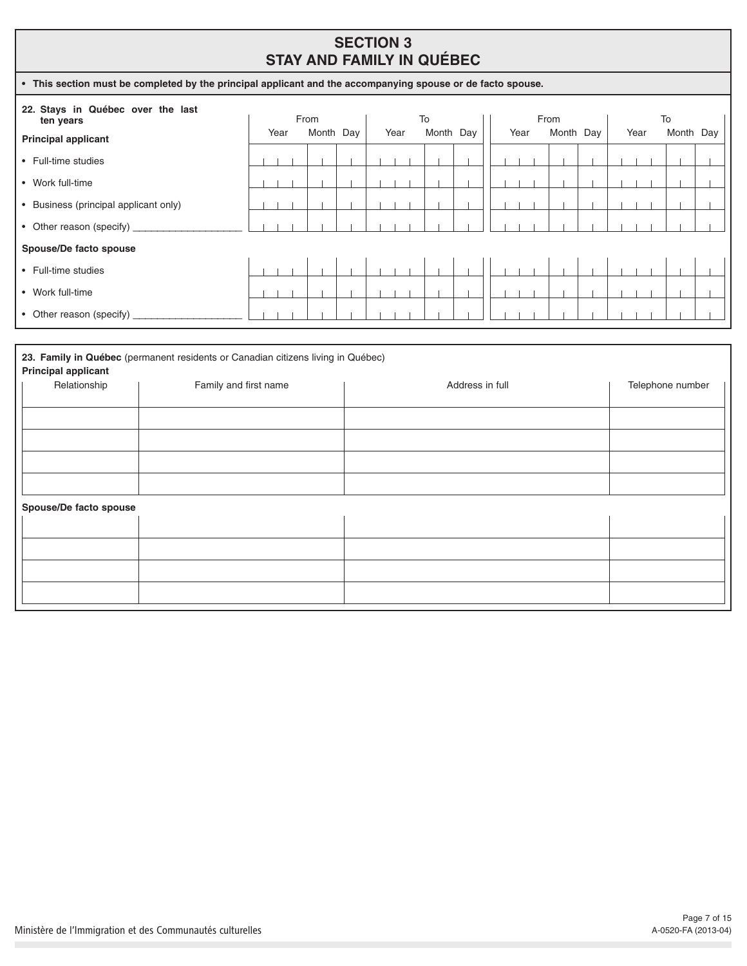# **SECTION 3 STAY AND FAMILY IN QUÉBEC**

| • This section must be completed by the principal applicant and the accompanying spouse or de facto spouse.                                              |                       |      |      |           |                |    |           |                 |  |      |      |           |  |      |                  |           |
|----------------------------------------------------------------------------------------------------------------------------------------------------------|-----------------------|------|------|-----------|----------------|----|-----------|-----------------|--|------|------|-----------|--|------|------------------|-----------|
| 22. Stays in Québec over the last<br>ten years<br><b>Principal applicant</b>                                                                             |                       | Year | From | Month Day | Year           | To | Month Day |                 |  | Year | From | Month Day |  | Year | To               | Month Day |
|                                                                                                                                                          |                       |      |      |           |                |    |           |                 |  |      |      |           |  |      |                  |           |
| • Full-time studies                                                                                                                                      |                       |      |      |           |                |    |           |                 |  |      |      |           |  |      |                  |           |
| • Work full-time                                                                                                                                         |                       |      |      |           |                |    |           |                 |  |      |      |           |  |      |                  |           |
| • Business (principal applicant only)                                                                                                                    |                       |      |      |           | $\blacksquare$ |    |           |                 |  |      |      |           |  |      |                  |           |
| • Other reason (specify) ______________                                                                                                                  |                       |      |      |           |                |    |           |                 |  |      |      |           |  |      |                  |           |
| Spouse/De facto spouse                                                                                                                                   |                       |      |      |           |                |    |           |                 |  |      |      |           |  |      |                  |           |
| • Full-time studies                                                                                                                                      |                       |      |      |           |                |    |           |                 |  |      |      |           |  |      |                  |           |
| • Work full-time                                                                                                                                         |                       |      |      |           |                |    |           |                 |  |      |      |           |  |      |                  |           |
| • Other reason (specify) _                                                                                                                               |                       |      |      |           |                |    |           |                 |  |      |      |           |  |      |                  |           |
| 23. Family in Québec (permanent residents or Canadian citizens living in Québec)<br><b>Principal applicant</b><br>Relationship<br>Spouse/De facto spouse | Family and first name |      |      |           |                |    |           | Address in full |  |      |      |           |  |      | Telephone number |           |
|                                                                                                                                                          |                       |      |      |           |                |    |           |                 |  |      |      |           |  |      |                  |           |
|                                                                                                                                                          |                       |      |      |           |                |    |           |                 |  |      |      |           |  |      |                  |           |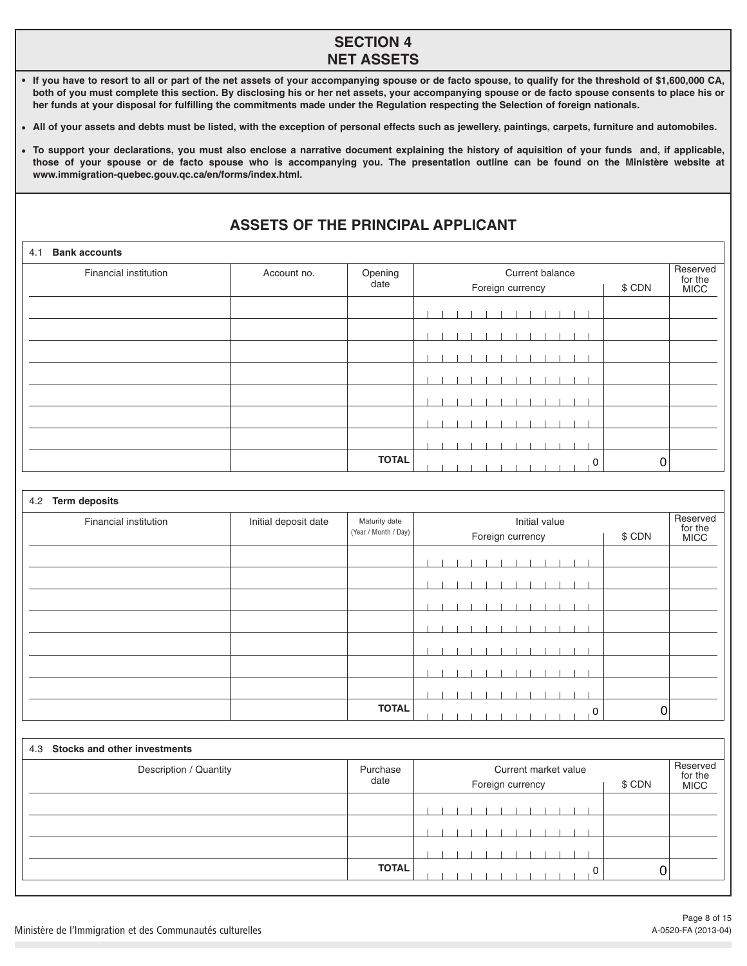# **SECTION 4 NET ASSETS**

- **If you have to resort to all or part of the net assets of your accompanying spouse or de facto spouse, to qualify for the threshold of \$1,600,000 CA, both of you must complete this section. By disclosing his or her net assets, your accompanying spouse or de facto spouse consents to place his or her funds at your disposal for fulfilling the commitments made under the Regulation respecting the Selection of foreign nationals.**
- **• All of your assets and debts must be listed, with the exception of personal effects such as jewellery, paintings, carpets, furniture and automobiles.**
- **• To support your declarations, you must also enclose a narrative document explaining the history of aquisition of your funds and, if applicable, those of your spouse or de facto spouse who is accompanying you. The presentation outline can be found on the Ministère website at www.immigration-quebec.gouv.qc.ca/en/forms/index.html.**

# **ASSETS OF THE PRINCIPAL APPLICANT**

| <b>Bank accounts</b><br>4.1 |             |              |                  |          |  |  |  |  |  |  |  |  |  |        |                 |             |
|-----------------------------|-------------|--------------|------------------|----------|--|--|--|--|--|--|--|--|--|--------|-----------------|-------------|
| Financial institution       | Account no. | Opening      |                  | Reserved |  |  |  |  |  |  |  |  |  |        |                 |             |
|                             |             | date         | Foreign currency |          |  |  |  |  |  |  |  |  |  | \$ CDN | for the<br>MICC |             |
|                             |             |              |                  |          |  |  |  |  |  |  |  |  |  |        |                 |             |
|                             |             |              |                  |          |  |  |  |  |  |  |  |  |  |        |                 |             |
|                             |             |              |                  |          |  |  |  |  |  |  |  |  |  |        |                 |             |
|                             |             |              |                  |          |  |  |  |  |  |  |  |  |  |        |                 |             |
|                             |             |              |                  |          |  |  |  |  |  |  |  |  |  |        |                 |             |
|                             |             |              |                  |          |  |  |  |  |  |  |  |  |  |        |                 |             |
|                             |             |              |                  |          |  |  |  |  |  |  |  |  |  |        |                 |             |
|                             |             |              |                  |          |  |  |  |  |  |  |  |  |  |        |                 |             |
|                             |             |              |                  |          |  |  |  |  |  |  |  |  |  |        |                 |             |
|                             |             |              |                  |          |  |  |  |  |  |  |  |  |  |        |                 |             |
|                             |             | <b>TOTAL</b> |                  |          |  |  |  |  |  |  |  |  |  | 0      |                 | $\mathbf 0$ |
|                             |             |              |                  |          |  |  |  |  |  |  |  |  |  |        |                 |             |

| 4.2 Term deposits     |                      |                                       |  |  |                  |  |               |  |   |        |                                    |
|-----------------------|----------------------|---------------------------------------|--|--|------------------|--|---------------|--|---|--------|------------------------------------|
| Financial institution | Initial deposit date | Maturity date<br>(Year / Month / Day) |  |  | Foreign currency |  | Initial value |  |   | \$ CDN | Reserved<br>for the<br><b>MICC</b> |
|                       |                      |                                       |  |  |                  |  |               |  |   |        |                                    |
|                       |                      |                                       |  |  |                  |  |               |  |   |        |                                    |
|                       |                      |                                       |  |  |                  |  |               |  |   |        |                                    |
|                       |                      |                                       |  |  |                  |  |               |  |   |        |                                    |
|                       |                      |                                       |  |  |                  |  |               |  |   |        |                                    |
|                       |                      |                                       |  |  |                  |  |               |  |   |        |                                    |
|                       |                      |                                       |  |  |                  |  |               |  |   |        |                                    |
|                       |                      | <b>TOTAL</b>                          |  |  |                  |  |               |  | 0 |        | $\Omega$                           |

| 4.3 Stocks and other investments |                  |                                          |        |                             |
|----------------------------------|------------------|------------------------------------------|--------|-----------------------------|
| Description / Quantity           | Purchase<br>date | Current market value<br>Foreign currency | \$ CDN | Reserved<br>for the<br>MICC |
|                                  |                  |                                          |        |                             |
|                                  |                  |                                          |        |                             |
|                                  |                  |                                          |        |                             |
|                                  | <b>TOTAL</b>     |                                          |        |                             |

 $\mathbf{I}$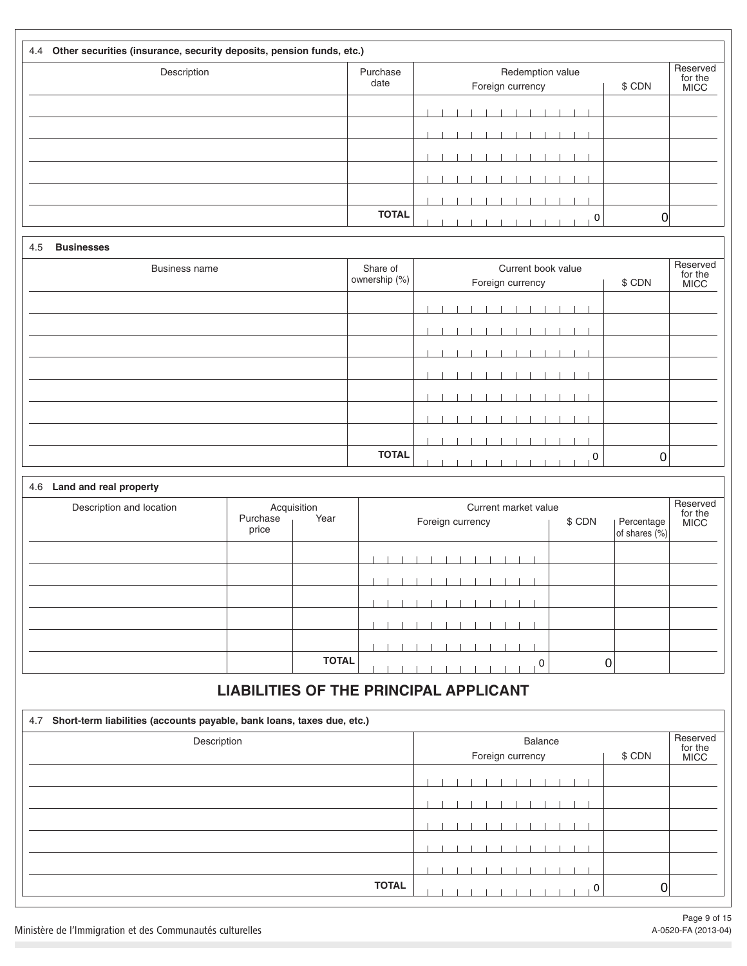| 4.4 Other securities (insurance, security deposits, pension funds, etc.) |                  |                                      |  |  |  |  |  |  |  |  |        |                                    |  |   |
|--------------------------------------------------------------------------|------------------|--------------------------------------|--|--|--|--|--|--|--|--|--------|------------------------------------|--|---|
| Description                                                              | Purchase<br>date | Redemption value<br>Foreign currency |  |  |  |  |  |  |  |  | \$ CDN | Reserved<br>for the<br><b>MICC</b> |  |   |
|                                                                          |                  |                                      |  |  |  |  |  |  |  |  |        |                                    |  |   |
|                                                                          |                  |                                      |  |  |  |  |  |  |  |  |        |                                    |  |   |
|                                                                          |                  |                                      |  |  |  |  |  |  |  |  |        |                                    |  |   |
|                                                                          |                  |                                      |  |  |  |  |  |  |  |  |        |                                    |  |   |
|                                                                          |                  |                                      |  |  |  |  |  |  |  |  |        |                                    |  |   |
|                                                                          | <b>TOTAL</b>     |                                      |  |  |  |  |  |  |  |  |        | 0                                  |  | 0 |

| 4.5 | <b>Businesses</b>    |                           |                                                  |  |  |  |  |  |  |  |  |  |  |                             |                |  |
|-----|----------------------|---------------------------|--------------------------------------------------|--|--|--|--|--|--|--|--|--|--|-----------------------------|----------------|--|
|     | <b>Business name</b> | Share of<br>ownership (%) | Current book value<br>Foreign currency<br>\$ CDN |  |  |  |  |  |  |  |  |  |  | Reserved<br>for the<br>MICC |                |  |
|     |                      |                           |                                                  |  |  |  |  |  |  |  |  |  |  |                             |                |  |
|     |                      |                           |                                                  |  |  |  |  |  |  |  |  |  |  |                             |                |  |
|     |                      |                           |                                                  |  |  |  |  |  |  |  |  |  |  |                             |                |  |
|     |                      |                           |                                                  |  |  |  |  |  |  |  |  |  |  |                             |                |  |
|     |                      |                           |                                                  |  |  |  |  |  |  |  |  |  |  |                             |                |  |
|     |                      |                           |                                                  |  |  |  |  |  |  |  |  |  |  |                             |                |  |
|     |                      |                           |                                                  |  |  |  |  |  |  |  |  |  |  |                             |                |  |
|     |                      | <b>TOTAL</b>              |                                                  |  |  |  |  |  |  |  |  |  |  | $\Omega$                    | $\overline{0}$ |  |

# 4.6 **Land and real property**

| Description and location |                   | Acquisition  | Current market value                                         | Reserved<br>for the |
|--------------------------|-------------------|--------------|--------------------------------------------------------------|---------------------|
|                          | Purchase<br>price | Year         | \$ CDN<br>Foreign currency<br>Percentage<br>of shares $(\%)$ | <b>MICC</b>         |
|                          |                   |              |                                                              |                     |
|                          |                   |              |                                                              |                     |
|                          |                   |              |                                                              |                     |
|                          |                   |              |                                                              |                     |
|                          |                   |              |                                                              |                     |
|                          |                   |              |                                                              |                     |
|                          |                   | <b>TOTAL</b> | 0<br>0                                                       |                     |

# **LIABILITIES OF THE PRINCIPAL APPLICANT**

| 4.7 Short-term liabilities (accounts payable, bank loans, taxes due, etc.) |                                       |  |  |  |  |  |  |  |  |  |  |                                    |  |
|----------------------------------------------------------------------------|---------------------------------------|--|--|--|--|--|--|--|--|--|--|------------------------------------|--|
| Description                                                                | Balance<br>\$ CDN<br>Foreign currency |  |  |  |  |  |  |  |  |  |  | Reserved<br>for the<br><b>MICC</b> |  |
|                                                                            |                                       |  |  |  |  |  |  |  |  |  |  |                                    |  |
|                                                                            |                                       |  |  |  |  |  |  |  |  |  |  |                                    |  |
|                                                                            |                                       |  |  |  |  |  |  |  |  |  |  |                                    |  |
|                                                                            |                                       |  |  |  |  |  |  |  |  |  |  |                                    |  |
|                                                                            |                                       |  |  |  |  |  |  |  |  |  |  |                                    |  |
| <b>TOTAL</b>                                                               |                                       |  |  |  |  |  |  |  |  |  |  | 0                                  |  |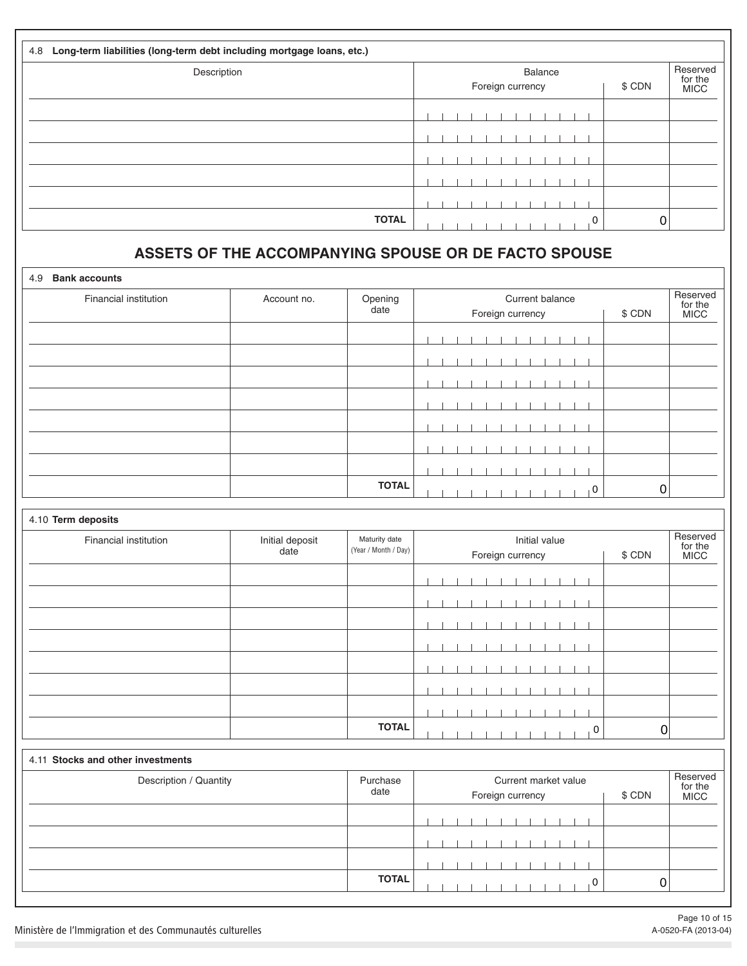| Long-term liabilities (long-term debt including mortgage loans, etc.)<br>4.8 |  |  |  |                             |  |   |        |                                    |
|------------------------------------------------------------------------------|--|--|--|-----------------------------|--|---|--------|------------------------------------|
| Description                                                                  |  |  |  | Balance<br>Foreign currency |  |   | \$ CDN | Reserved<br>for the<br><b>MICC</b> |
|                                                                              |  |  |  |                             |  |   |        |                                    |
|                                                                              |  |  |  |                             |  |   |        |                                    |
|                                                                              |  |  |  |                             |  |   |        |                                    |
|                                                                              |  |  |  |                             |  |   |        |                                    |
|                                                                              |  |  |  |                             |  |   |        |                                    |
| <b>TOTAL</b>                                                                 |  |  |  |                             |  | 0 | 0      |                                    |

# **ASSETS OF THE ACCOMPANYING SPOUSE OR DE FACTO SPOUSE**

4.9 **Bank accounts** Current balance Reserved Opening<br>date Financial institution **Account no.** for the<br>MICC Foreign currency | \$ CDN  $\mathbf{I}$  $\overline{\phantom{a}}$  $\overline{\phantom{a}}$  $\overline{1}$ **TOTAL**  $\begin{array}{ccc} \circ & \circ & \circ \end{array}$  $1 - 1 - 1 - 1 - 1$  $\overline{1}$ 

| 4.10 Term deposits    |                         |                                       |                                                                            |
|-----------------------|-------------------------|---------------------------------------|----------------------------------------------------------------------------|
| Financial institution | Initial deposit<br>date | Maturity date<br>(Year / Month / Day) | Reserved<br>Initial value<br>for the<br>Foreign currency<br>\$ CDN<br>MICC |
|                       |                         |                                       |                                                                            |
|                       |                         |                                       |                                                                            |
|                       |                         |                                       |                                                                            |
|                       |                         |                                       |                                                                            |
|                       |                         |                                       |                                                                            |
|                       |                         |                                       |                                                                            |
|                       |                         |                                       |                                                                            |
|                       |                         | <b>TOTAL</b>                          | 0<br>$\mathbf 0$                                                           |

| 4.11 Stocks and other investments |                  |  |  |                  |  |  |  |                      |  |        |                             |
|-----------------------------------|------------------|--|--|------------------|--|--|--|----------------------|--|--------|-----------------------------|
| Description / Quantity            | Purchase<br>date |  |  | Foreign currency |  |  |  | Current market value |  | \$ CDN | Reserved<br>for the<br>MICC |
|                                   |                  |  |  |                  |  |  |  |                      |  |        |                             |
|                                   |                  |  |  |                  |  |  |  |                      |  |        |                             |
|                                   |                  |  |  |                  |  |  |  |                      |  |        |                             |
|                                   | <b>TOTAL</b>     |  |  |                  |  |  |  |                      |  |        |                             |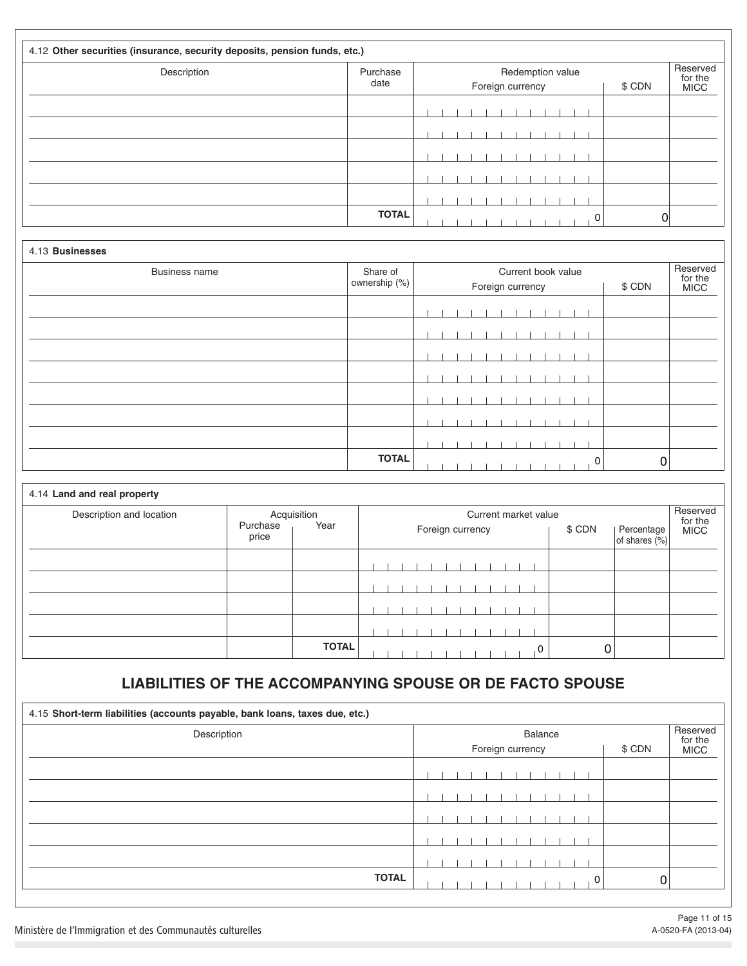| 4.12 Other securities (insurance, security deposits, pension funds, etc.) |                  |  |  |                  |  |  |  |                  |   |        |   |                                    |
|---------------------------------------------------------------------------|------------------|--|--|------------------|--|--|--|------------------|---|--------|---|------------------------------------|
| Description                                                               | Purchase<br>date |  |  | Foreign currency |  |  |  | Redemption value |   | \$ CDN |   | Reserved<br>for the<br><b>MICC</b> |
|                                                                           |                  |  |  |                  |  |  |  |                  |   |        |   |                                    |
|                                                                           |                  |  |  |                  |  |  |  |                  |   |        |   |                                    |
|                                                                           |                  |  |  |                  |  |  |  |                  |   |        |   |                                    |
|                                                                           |                  |  |  |                  |  |  |  |                  |   |        |   |                                    |
|                                                                           |                  |  |  |                  |  |  |  |                  |   |        |   |                                    |
|                                                                           | <b>TOTAL</b>     |  |  |                  |  |  |  |                  | 0 |        | 0 |                                    |

| 4.13 Businesses      |                           |  |  |                  |  |  |                    |  |   |             |                             |
|----------------------|---------------------------|--|--|------------------|--|--|--------------------|--|---|-------------|-----------------------------|
| <b>Business name</b> | Share of<br>ownership (%) |  |  | Foreign currency |  |  | Current book value |  |   | \$ CDN      | Reserved<br>for the<br>MICC |
|                      |                           |  |  |                  |  |  |                    |  |   |             |                             |
|                      |                           |  |  |                  |  |  |                    |  |   |             |                             |
|                      |                           |  |  |                  |  |  |                    |  |   |             |                             |
|                      |                           |  |  |                  |  |  |                    |  |   |             |                             |
|                      |                           |  |  |                  |  |  |                    |  |   |             |                             |
|                      |                           |  |  |                  |  |  |                    |  |   |             |                             |
|                      |                           |  |  |                  |  |  |                    |  |   |             |                             |
|                      | <b>TOTAL</b>              |  |  |                  |  |  |                    |  | 0 | $\mathbf 0$ |                             |

| 4.14 Land and real property |                   |                     |                                                                                                   |                                    |
|-----------------------------|-------------------|---------------------|---------------------------------------------------------------------------------------------------|------------------------------------|
| Description and location    | Purchase<br>price | Acquisition<br>Year | Current market value<br>\$ CDN<br>Foreign currency<br>Percentage <sup>1</sup><br>of shares $(\%)$ | Reserved<br>for the<br><b>MICC</b> |
|                             |                   |                     |                                                                                                   |                                    |
|                             |                   |                     |                                                                                                   |                                    |
|                             |                   |                     |                                                                                                   |                                    |
|                             |                   |                     |                                                                                                   |                                    |
|                             |                   | <b>TOTAL</b>        | 0<br>$\Omega$                                                                                     |                                    |

# **LIABILITIES OF THE ACCOMPANYING SPOUSE OR DE FACTO SPOUSE**

| 4.15 Short-term liabilities (accounts payable, bank loans, taxes due, etc.) |  |  |  |  |                             |  |  |        |                                    |
|-----------------------------------------------------------------------------|--|--|--|--|-----------------------------|--|--|--------|------------------------------------|
| Description                                                                 |  |  |  |  | Balance<br>Foreign currency |  |  | \$ CDN | Reserved<br>for the<br><b>MICC</b> |
|                                                                             |  |  |  |  |                             |  |  |        |                                    |
|                                                                             |  |  |  |  |                             |  |  |        |                                    |
|                                                                             |  |  |  |  |                             |  |  |        |                                    |
|                                                                             |  |  |  |  |                             |  |  |        |                                    |
|                                                                             |  |  |  |  |                             |  |  |        |                                    |
| <b>TOTAL</b>                                                                |  |  |  |  |                             |  |  | 0      |                                    |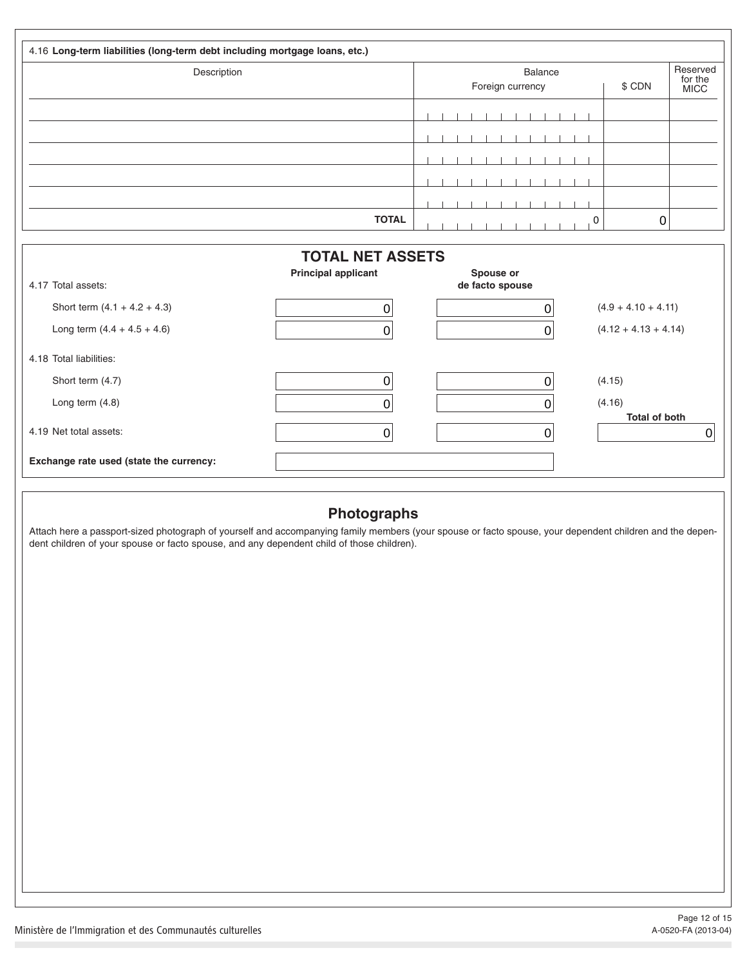| 4.16 Long-term liabilities (long-term debt including mortgage loans, etc.)  |  |  |                 |                  |  |         |  |  |        |                                    |
|-----------------------------------------------------------------------------|--|--|-----------------|------------------|--|---------|--|--|--------|------------------------------------|
| Description                                                                 |  |  |                 | Foreign currency |  | Balance |  |  | \$ CDN | Reserved<br>for the<br><b>MICC</b> |
|                                                                             |  |  |                 |                  |  |         |  |  |        |                                    |
|                                                                             |  |  |                 |                  |  |         |  |  |        |                                    |
|                                                                             |  |  |                 |                  |  |         |  |  |        |                                    |
|                                                                             |  |  |                 |                  |  |         |  |  |        |                                    |
|                                                                             |  |  |                 |                  |  |         |  |  |        |                                    |
| <b>TOTAL</b>                                                                |  |  |                 |                  |  |         |  |  | 0      |                                    |
| <b>TOTAL NET ASSETS</b><br><b>Principal applicant</b><br>4.17 Total assets: |  |  | de facto spouse | Spouse or        |  |         |  |  |        |                                    |

| Long term $(4.4 + 4.5 + 4.6)$           |   | $(4.12 + 4.13 + 4.14)$ |
|-----------------------------------------|---|------------------------|
| 4.18 Total liabilities:                 |   |                        |
| Short term (4.7)                        |   | (4.15)                 |
| Long term $(4.8)$                       | Դ | (4.16)                 |
| 4.19 Net total assets:                  |   | <b>Total of both</b>   |
| Exchange rate used (state the currency: |   |                        |

0 0

# **Photographs**

Attach here a passport-sized photograph of yourself and accompanying family members (your spouse or facto spouse, your dependent children and the dependent children of your spouse or facto spouse, and any dependent child of those children).

Short term  $(4.1 + 4.2 + 4.3)$ 

 $(4.9 + 4.10 + 4.11)$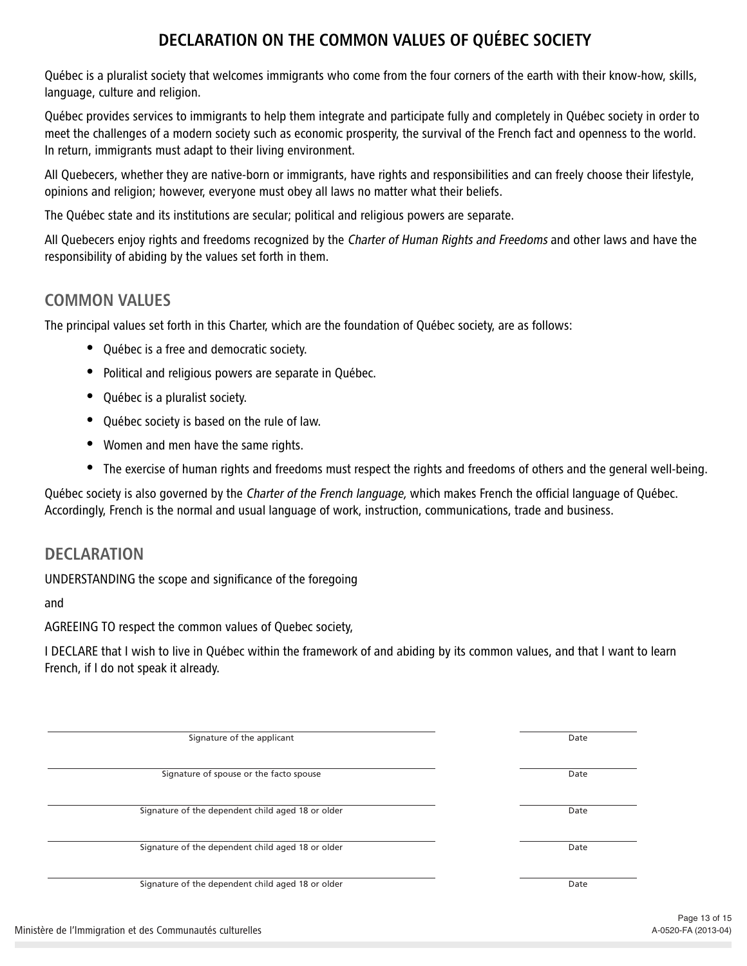# **DECLARATION ON THE COMMON VALUES OF QUÉBEC SOCIETY**

Québec is a pluralist society that welcomes immigrants who come from the four corners of the earth with their know-how, skills, language, culture and religion.

Québec provides services to immigrants to help them integrate and participate fully and completely in Québec society in order to meet the challenges of a modern society such as economic prosperity, the survival of the French fact and openness to the world. In return, immigrants must adapt to their living environment.

All Quebecers, whether they are native-born or immigrants, have rights and responsibilities and can freely choose their lifestyle, opinions and religion; however, everyone must obey all laws no matter what their beliefs.

The Québec state and its institutions are secular; political and religious powers are separate.

All Quebecers enjoy rights and freedoms recognized by the Charter of Human Rights and Freedoms and other laws and have the responsibility of abiding by the values set forth in them.

# **COMMON VALUES**

The principal values set forth in this Charter, which are the foundation of Québec society, are as follows:

- Québec is a free and democratic society.  $\bullet$
- Political and religious powers are separate in Québec.  $\bullet$
- Québec is a pluralist society.
- Québec society is based on the rule of law.
- Women and men have the same rights.
- The exercise of human rights and freedoms must respect the rights and freedoms of others and the general well-being. y

Québec society is also governed by the Charter of the French language, which makes French the official language of Québec. Accordingly, French is the normal and usual language of work, instruction, communications, trade and business.

### **DECLARATION**

UNDERSTANDING the scope and significance of the foregoing

and

AGREEING TO respect the common values of Quebec society,

I DECLARE that I wish to live in Québec within the framework of and abiding by its common values, and that I want to learn French, if I do not speak it already.

| Signature of the applicant                        | Date |
|---------------------------------------------------|------|
| Signature of spouse or the facto spouse           | Date |
| Signature of the dependent child aged 18 or older | Date |
| Signature of the dependent child aged 18 or older | Date |
| Signature of the dependent child aged 18 or older | Date |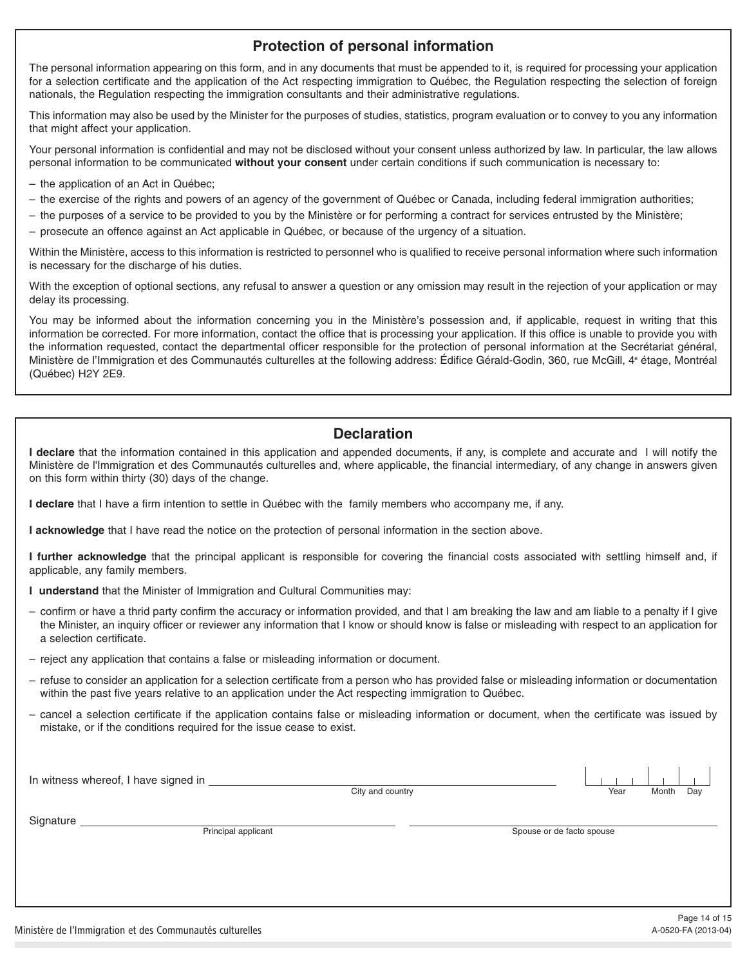### **Protection of personal information**

The personal information appearing on this form, and in any documents that must be appended to it, is required for processing your application for a selection certificate and the application of the Act respecting immigration to Québec, the Regulation respecting the selection of foreign nationals, the Regulation respecting the immigration consultants and their administrative regulations.

This information may also be used by the Minister for the purposes of studies, statistics, program evaluation or to convey to you any information that might affect your application.

Your personal information is confidential and may not be disclosed without your consent unless authorized by law. In particular, the law allows personal information to be communicated **without your consent** under certain conditions if such communication is necessary to:

- the application of an Act in Québec;
- the exercise of the rights and powers of an agency of the government of Québec or Canada, including federal immigration authorities;
- the purposes of a service to be provided to you by the Ministère or for performing a contract for services entrusted by the Ministère;
- prosecute an offence against an Act applicable in Québec, or because of the urgency of a situation.

Within the Ministère, access to this information is restricted to personnel who is qualified to receive personal information where such information is necessary for the discharge of his duties.

With the exception of optional sections, any refusal to answer a question or any omission may result in the rejection of your application or may delay its processing.

You may be informed about the information concerning you in the Ministère's possession and, if applicable, request in writing that this information be corrected. For more information, contact the office that is processing your application. If this office is unable to provide you with the information requested, contact the departmental officer responsible for the protection of personal information at the Secrétariat général, Ministère de l'Immigration et des Communautés culturelles at the following address: Édifice Gérald-Godin, 360, rue McGill, 4e étage, Montréal (Québec) H2Y 2E9.

### **Declaration**

**I declare** that the information contained in this application and appended documents, if any, is complete and accurate and I will notify the Ministère de l'Immigration et des Communautés culturelles and, where applicable, the financial intermediary, of any change in answers given on this form within thirty (30) days of the change.

**I declare** that I have a firm intention to settle in Québec with the family members who accompany me, if any.

**I acknowledge** that I have read the notice on the protection of personal information in the section above.

**I further acknowledge** that the principal applicant is responsible for covering the financial costs associated with settling himself and, if applicable, any family members.

- **I understand** that the Minister of Immigration and Cultural Communities may:
- confirm or have a thrid party confirm the accuracy or information provided, and that I am breaking the law and am liable to a penalty if I give the Minister, an inquiry officer or reviewer any information that I know or should know is false or misleading with respect to an application for a selection certificate.
- reject any application that contains a false or misleading information or document.
- refuse to consider an application for a selection certificate from a person who has provided false or misleading information or documentation within the past five years relative to an application under the Act respecting immigration to Québec.
- cancel a selection certificate if the application contains false or misleading information or document, when the certificate was issued by mistake, or if the conditions required for the issue cease to exist.

In witness whereof, I have signed in

City and country

 $\mathbf{L}$ 

Signature

Principal applicant Spouse or de facto spouse